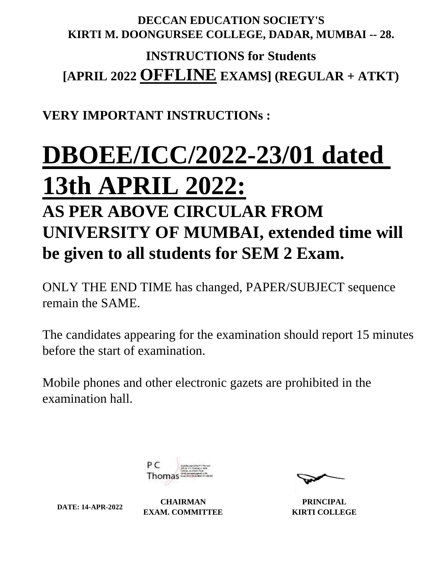## **DECCAN EDUCATION SOCIETY'S KIRTI M. DOONGURSEE COLLEGE, DADAR, MUMBAI -- 28.**

# **INSTRUCTIONS for Students [APRIL 2022 OFFLINE EXAMS] (REGULAR + ATKT)**

# **VERY IMPORTANT INSTRUCTIONs :**

# **DBOEE/ICC/2022-23/01 dated**

# **13th APRIL 2022:**

# **AS PER ABOVE CIRCULAR FROM UNIVERSITY OF MUMBAI, extended time will be given to all students for SEM 2 Exam.**

ONLY THE END TIME has changed, PAPER/SUBJECT sequence remain the SAME.

The candidates appearing for the examination should report 15 minutes before the start of examination.

Mobile phones and other electronic gazets are prohibited in the examination hall.



**DATE: 14-APR-2022 CHAIRMAN EXAM. COMMITTEE**

**PRINCIPAL KIRTI COLLEGE**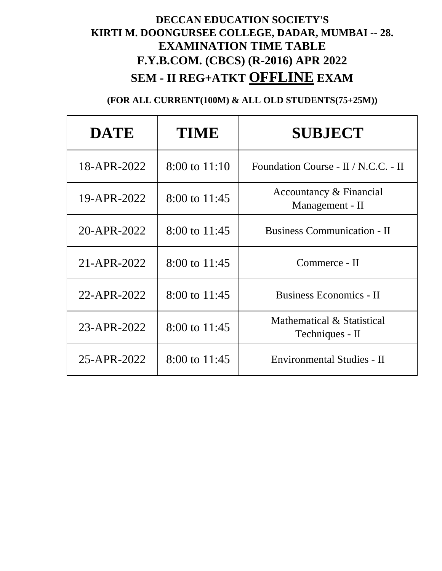# **DECCAN EDUCATION SOCIETY'S KIRTI M. DOONGURSEE COLLEGE, DADAR, MUMBAI -- 28. EXAMINATION TIME TABLE F.Y.B.COM. (CBCS) (R-2016) APR 2022 SEM - II REG+ATKT OFFLINE EXAM**

| <b>DATE</b> | <b>TIME</b>       | <b>SUBJECT</b>                                |
|-------------|-------------------|-----------------------------------------------|
| 18-APR-2022 | $8:00$ to $11:10$ | Foundation Course - II / N.C.C. - II          |
| 19-APR-2022 | 8:00 to 11:45     | Accountancy & Financial<br>Management - II    |
| 20-APR-2022 | $8:00$ to 11:45   | <b>Business Communication - II</b>            |
| 21-APR-2022 | 8:00 to 11:45     | Commerce - II                                 |
| 22-APR-2022 | 8:00 to 11:45     | <b>Business Economics - II</b>                |
| 23-APR-2022 | 8:00 to 11:45     | Mathematical & Statistical<br>Techniques - II |
| 25-APR-2022 | 8:00 to 11:45     | Environmental Studies - II                    |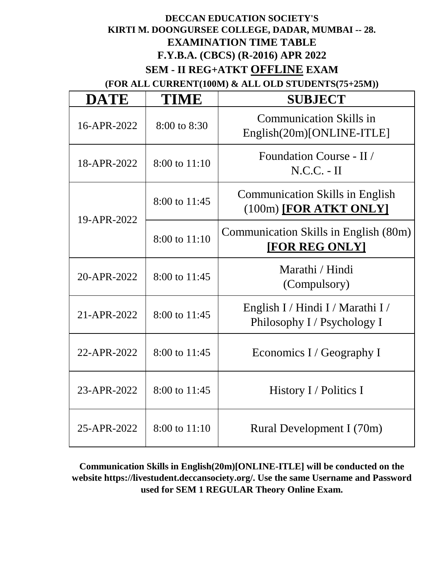#### **DECCAN EDUCATION SOCIETY'S KIRTI M. DOONGURSEE COLLEGE, DADAR, MUMBAI -- 28. EXAMINATION TIME TABLE F.Y.B.A. (CBCS) (R-2016) APR 2022 SEM - II REG+ATKT OFFLINE EXAM**

**(FOR ALL CURRENT(100M) & ALL OLD STUDENTS(75+25M))**

| <b>DATE</b> | <b>TIME</b>   | <b>SUBJECT</b>                                                     |
|-------------|---------------|--------------------------------------------------------------------|
| 16-APR-2022 | 8:00 to 8:30  | <b>Communication Skills in</b><br>English(20m)[ONLINE-ITLE]        |
| 18-APR-2022 | 8:00 to 11:10 | Foundation Course - II /<br>$N.C.C. - II$                          |
|             | 8:00 to 11:45 | <b>Communication Skills in English</b><br>$(100m)$ [FOR ATKT ONLY] |
| 19-APR-2022 | 8:00 to 11:10 | Communication Skills in English (80m)<br>[FOR REG ONLY]            |
| 20-APR-2022 | 8:00 to 11:45 | Marathi / Hindi<br>(Compulsory)                                    |
| 21-APR-2022 | 8:00 to 11:45 | English I / Hindi I / Marathi I /<br>Philosophy I / Psychology I   |
| 22-APR-2022 | 8:00 to 11:45 | Economics I / Geography I                                          |
| 23-APR-2022 | 8:00 to 11:45 | History I / Politics I                                             |
| 25-APR-2022 | 8:00 to 11:10 | Rural Development I (70m)                                          |

**Communication Skills in English(20m)[ONLINE-ITLE] will be conducted on the website https://livestudent.deccansociety.org/. Use the same Username and Password used for SEM 1 REGULAR Theory Online Exam.**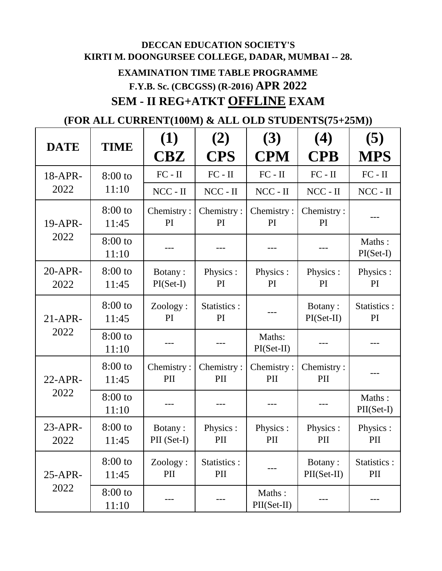# **DECCAN EDUCATION SOCIETY'S KIRTI M. DOONGURSEE COLLEGE, DADAR, MUMBAI -- 28. EXAMINATION TIME TABLE PROGRAMME F.Y.B. Sc. (CBCGSS) (R-2016) APR 2022 SEM - II REG+ATKT OFFLINE EXAM**

|                    |                    | (1)                    | (2)                 | (3)                    | (4)                     | (5)                    |
|--------------------|--------------------|------------------------|---------------------|------------------------|-------------------------|------------------------|
| <b>DATE</b>        | <b>TIME</b>        | $\bf C B Z$            | <b>CPS</b>          | <b>CPM</b>             | <b>CPB</b>              | <b>MPS</b>             |
| 18-APR-            | $8:00$ to          | $FC - II$              | $FC - II$           | $FC - II$              | $FC - II$               | $FC - II$              |
| 2022               | 11:10              | $NCC - II$             | $NCC - II$          | $NCC - II$             | $NCC - II$              | $NCC - II$             |
| 19-APR-            | $8:00$ to<br>11:45 | Chemistry:<br>PI       | Chemistry:<br>PI    | Chemistry:<br>PI       | Chemistry:<br>PI        |                        |
| 2022               | $8:00$ to<br>11:10 |                        |                     |                        |                         | Maths:<br>$PI(Set-I)$  |
| $20-APR$ -<br>2022 | $8:00$ to<br>11:45 | Botany:<br>$PI(Set-I)$ | Physics:<br>PI      | Physics :<br>PI        | Physics :<br>PI         | Physics :<br>PI        |
| $21-APR$           | $8:00$ to<br>11:45 | Zoology:<br><b>PI</b>  | Statistics :<br>PI  |                        | Botany:<br>$PI(Set-II)$ | Statistics :<br>PI     |
| 2022<br>11:10      | $8:00$ to          |                        |                     | Maths:<br>$PI(Set-II)$ |                         |                        |
| $22$ -APR-         | $8:00$ to<br>11:45 | Chemistry:<br>PII      | Chemistry:<br>PII   | Chemistry:<br>PII      | Chemistry:<br>PII       |                        |
| 2022               | $8:00$ to<br>11:10 |                        |                     |                        |                         | Maths:<br>$PII(Set-I)$ |
| $23-APR$ -<br>2022 | $8:00$ to<br>11:45 | Botany:<br>PII (Set-I) | Physics:<br>PII     | Physics :<br>PII       | Physics :<br>PII        | Physics :<br>PII       |
| $25-APR$ -         | $8:00$ to<br>11:45 | Zoology:<br>PII        | Statistics :<br>PII |                        | Botany:<br>PII(Set-II)  | Statistics :<br>PII    |
| 2022               | $8:00$ to<br>11:10 |                        |                     | Maths:<br>PII(Set-II)  |                         |                        |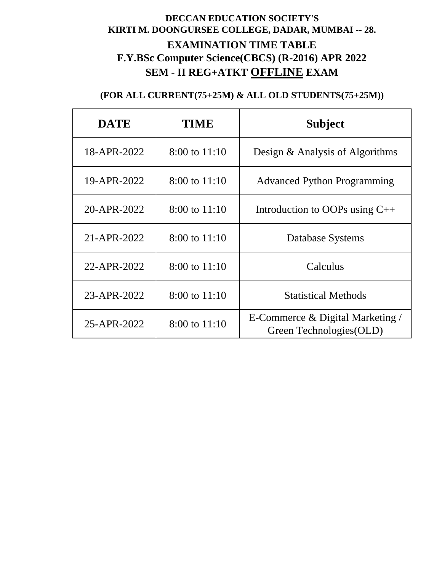## **DECCAN EDUCATION SOCIETY'S KIRTI M. DOONGURSEE COLLEGE, DADAR, MUMBAI -- 28. EXAMINATION TIME TABLE F.Y.BSc Computer Science(CBCS) (R-2016) APR 2022 SEM - II REG+ATKT OFFLINE EXAM**

| <b>DATE</b> | TIME              | <b>Subject</b>                                                  |
|-------------|-------------------|-----------------------------------------------------------------|
| 18-APR-2022 | $8:00$ to $11:10$ | Design & Analysis of Algorithms                                 |
| 19-APR-2022 | 8:00 to 11:10     | <b>Advanced Python Programming</b>                              |
| 20-APR-2022 | $8:00$ to $11:10$ | Introduction to OOPs using $C++$                                |
| 21-APR-2022 | $8:00$ to $11:10$ | Database Systems                                                |
| 22-APR-2022 | $8:00$ to $11:10$ | Calculus                                                        |
| 23-APR-2022 | $8:00$ to $11:10$ | <b>Statistical Methods</b>                                      |
| 25-APR-2022 | $8:00$ to $11:10$ | E-Commerce $\&$ Digital Marketing /<br>Green Technologies (OLD) |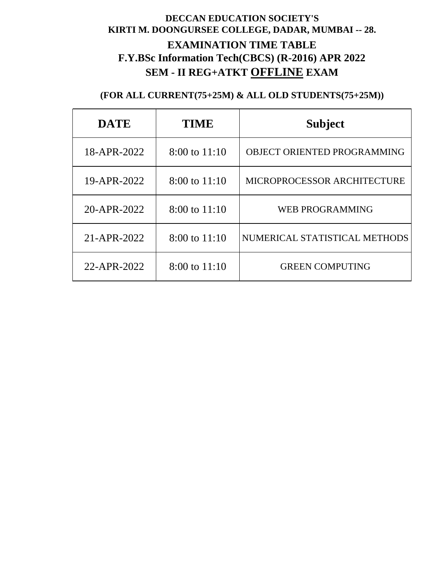## **DECCAN EDUCATION SOCIETY'S KIRTI M. DOONGURSEE COLLEGE, DADAR, MUMBAI -- 28. EXAMINATION TIME TABLE F.Y.BSc Information Tech(CBCS) (R-2016) APR 2022 SEM - II REG+ATKT OFFLINE EXAM**

| <b>DATE</b> | <b>TIME</b>       | <b>Subject</b>                |
|-------------|-------------------|-------------------------------|
| 18-APR-2022 | $8:00$ to $11:10$ | OBJECT ORIENTED PROGRAMMING   |
| 19-APR-2022 | $8:00$ to $11:10$ | MICROPROCESSOR ARCHITECTURE   |
| 20-APR-2022 | $8:00$ to $11:10$ | <b>WEB PROGRAMMING</b>        |
| 21-APR-2022 | $8:00$ to $11:10$ | NUMERICAL STATISTICAL METHODS |
| 22-APR-2022 | $8:00$ to $11:10$ | <b>GREEN COMPUTING</b>        |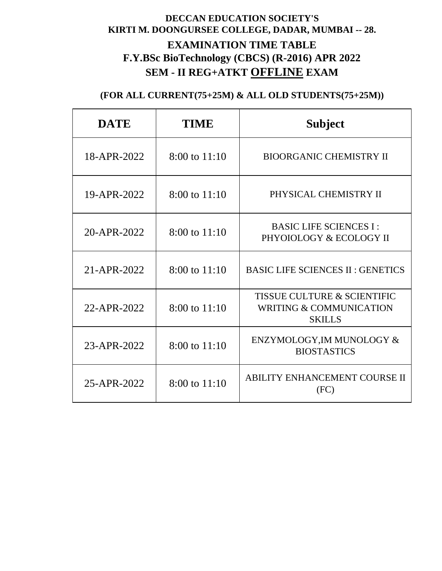## **DECCAN EDUCATION SOCIETY'S KIRTI M. DOONGURSEE COLLEGE, DADAR, MUMBAI -- 28. EXAMINATION TIME TABLE F.Y.BSc BioTechnology (CBCS) (R-2016) APR 2022 SEM - II REG+ATKT OFFLINE EXAM**

| <b>DATE</b> | <b>TIME</b>       | <b>Subject</b>                                                                                |
|-------------|-------------------|-----------------------------------------------------------------------------------------------|
| 18-APR-2022 | 8:00 to 11:10     | <b>BIOORGANIC CHEMISTRY II</b>                                                                |
| 19-APR-2022 | 8:00 to 11:10     | PHYSICAL CHEMISTRY II                                                                         |
| 20-APR-2022 | 8:00 to 11:10     | <b>BASIC LIFE SCIENCES I:</b><br>PHYOIOLOGY & ECOLOGY II                                      |
| 21-APR-2022 | 8:00 to 11:10     | <b>BASIC LIFE SCIENCES II: GENETICS</b>                                                       |
| 22-APR-2022 | $8:00$ to $11:10$ | <b>TISSUE CULTURE &amp; SCIENTIFIC</b><br><b>WRITING &amp; COMMUNICATION</b><br><b>SKILLS</b> |
| 23-APR-2022 | 8:00 to 11:10     | ENZYMOLOGY, IM MUNOLOGY &<br><b>BIOSTASTICS</b>                                               |
| 25-APR-2022 | $8:00$ to $11:10$ | <b>ABILITY ENHANCEMENT COURSE II</b><br>(FC)                                                  |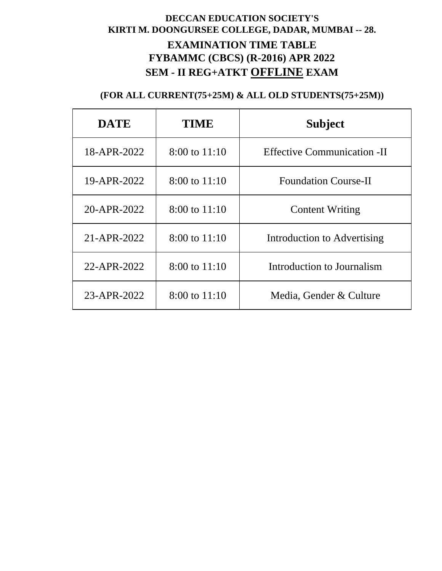## **DECCAN EDUCATION SOCIETY'S KIRTI M. DOONGURSEE COLLEGE, DADAR, MUMBAI -- 28. EXAMINATION TIME TABLE FYBAMMC (CBCS) (R-2016) APR 2022 SEM - II REG+ATKT OFFLINE EXAM**

| <b>DATE</b> | <b>TIME</b>       | <b>Subject</b>                     |
|-------------|-------------------|------------------------------------|
| 18-APR-2022 | $8:00$ to $11:10$ | <b>Effective Communication -II</b> |
| 19-APR-2022 | $8:00$ to $11:10$ | <b>Foundation Course-II</b>        |
| 20-APR-2022 | $8:00$ to $11:10$ | <b>Content Writing</b>             |
| 21-APR-2022 | $8:00$ to $11:10$ | Introduction to Advertising        |
| 22-APR-2022 | $8:00$ to $11:10$ | Introduction to Journalism         |
| 23-APR-2022 | $8:00$ to $11:10$ | Media, Gender & Culture            |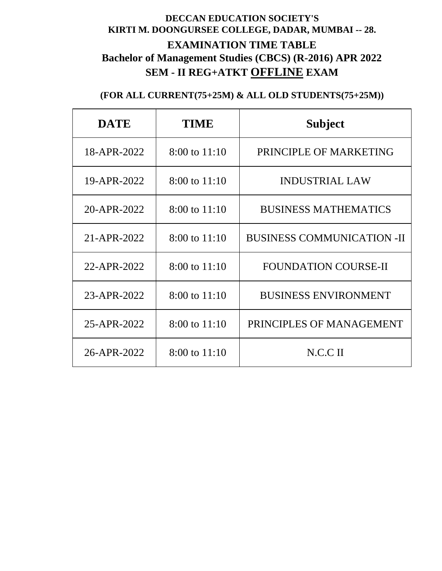## **DECCAN EDUCATION SOCIETY'S KIRTI M. DOONGURSEE COLLEGE, DADAR, MUMBAI -- 28. EXAMINATION TIME TABLE Bachelor of Management Studies (CBCS) (R-2016) APR 2022 SEM - II REG+ATKT OFFLINE EXAM**

| <b>DATE</b> | <b>TIME</b>       | <b>Subject</b>                    |
|-------------|-------------------|-----------------------------------|
| 18-APR-2022 | 8:00 to 11:10     | PRINCIPLE OF MARKETING            |
| 19-APR-2022 | $8:00$ to $11:10$ | <b>INDUSTRIAL LAW</b>             |
| 20-APR-2022 | 8:00 to 11:10     | <b>BUSINESS MATHEMATICS</b>       |
| 21-APR-2022 | $8:00$ to $11:10$ | <b>BUSINESS COMMUNICATION -II</b> |
| 22-APR-2022 | $8:00$ to $11:10$ | <b>FOUNDATION COURSE-II</b>       |
| 23-APR-2022 | $8:00$ to $11:10$ | <b>BUSINESS ENVIRONMENT</b>       |
| 25-APR-2022 | $8:00$ to $11:10$ | PRINCIPLES OF MANAGEMENT          |
| 26-APR-2022 | $8:00$ to $11:10$ | N.C.C.                            |